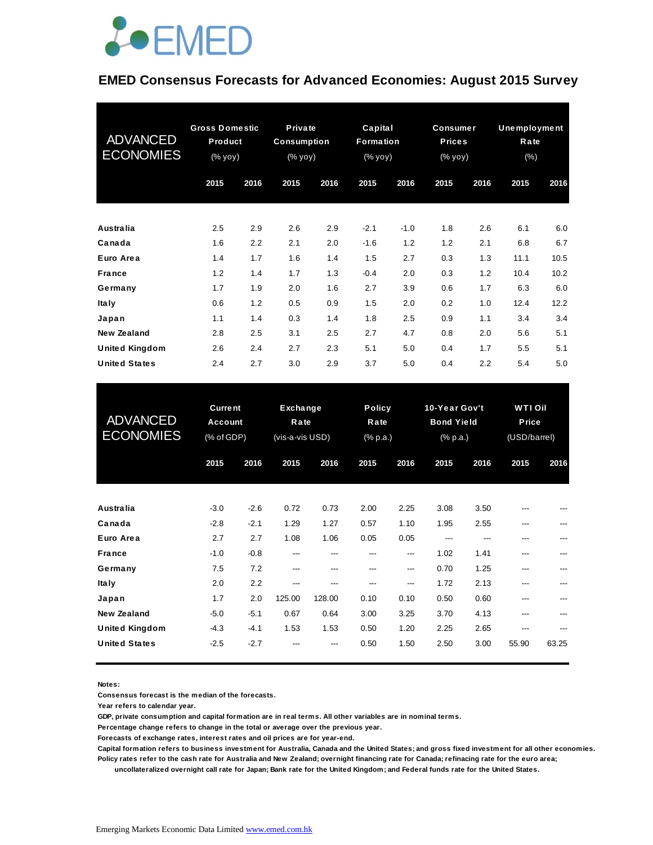

#### **EMED Consensus Forecasts for Advanced Economies: August 2015 Survey**

| <b>ADVANCED</b><br><b>ECONOMIES</b> | <b>Gross Domestic</b><br>Product<br>(% yoy) |      | Private<br><b>Consumption</b><br>(% yoy) |      | Capital<br>Formation<br>(% yoy) |        | <b>Consumer</b><br><b>Prices</b><br>(% yoy) |      | Unemployment<br>Rate<br>(% ) |      |
|-------------------------------------|---------------------------------------------|------|------------------------------------------|------|---------------------------------|--------|---------------------------------------------|------|------------------------------|------|
|                                     | 2015                                        | 2016 | 2015                                     | 2016 | 2015                            | 2016   | 2015                                        | 2016 | 2015                         | 2016 |
| Australia                           | 2.5                                         | 2.9  | 2.6                                      | 2.9  | $-2.1$                          | $-1.0$ | 1.8                                         | 2.6  | 6.1                          | 6.0  |
| Canada                              | 1.6                                         | 2.2  | 2.1                                      | 2.0  | $-1.6$                          | 1.2    | 1.2                                         | 2.1  | 6.8                          | 6.7  |
| Euro Area                           | 1.4                                         | 1.7  | 1.6                                      | 1.4  | 1.5                             | 2.7    | 0.3                                         | 1.3  | 11.1                         | 10.5 |
| <b>France</b>                       | 1.2                                         | 1.4  | 1.7                                      | 1.3  | $-0.4$                          | 2.0    | 0.3                                         | 1.2  | 10.4                         | 10.2 |
| Germany                             | 1.7                                         | 1.9  | 2.0                                      | 1.6  | 2.7                             | 3.9    | 0.6                                         | 1.7  | 6.3                          | 6.0  |
| <b>Italy</b>                        | 0.6                                         | 1.2  | 0.5                                      | 0.9  | 1.5                             | 2.0    | 0.2                                         | 1.0  | 12.4                         | 12.2 |
| Japan                               | 1.1                                         | 1.4  | 0.3                                      | 1.4  | 1.8                             | 2.5    | 0.9                                         | 1.1  | 3.4                          | 3.4  |
| New Zealand                         | 2.8                                         | 2.5  | 3.1                                      | 2.5  | 2.7                             | 4.7    | 0.8                                         | 2.0  | 5.6                          | 5.1  |
| <b>United Kingdom</b>               | 2.6                                         | 2.4  | 2.7                                      | 2.3  | 5.1                             | 5.0    | 0.4                                         | 1.7  | 5.5                          | 5.1  |
| <b>United States</b>                | 2.4                                         | 2.7  | 3.0                                      | 2.9  | 3.7                             | 5.0    | 0.4                                         | 2.2  | 5.4                          | 5.0  |

| United States                       | 2.4                                     | 2.7              | 3.0                                 | 2.9            | 3.7                               | 5.0          | 0.4                                            | 2.2          | 5.4                                   | 5.0   |
|-------------------------------------|-----------------------------------------|------------------|-------------------------------------|----------------|-----------------------------------|--------------|------------------------------------------------|--------------|---------------------------------------|-------|
| <b>ADVANCED</b><br><b>ECONOMIES</b> | <b>Current</b><br>Account<br>(% of GDP) |                  | Exchange<br>Rate<br>(vis-a-vis USD) |                | <b>Policy</b><br>Rate<br>(% p.a.) |              | 10-Year Gov't<br><b>Bond Yield</b><br>(% p.a.) |              | <b>WTIOI</b><br>Price<br>(USD/barrel) |       |
|                                     | 2015                                    | 2016             | 2015                                | 2016           | 2015                              | 2016         | 2015                                           | 2016         | 2015                                  | 2016  |
| Australia                           | $-3.0$                                  | $-2.6$           | 0.72                                | 0.73           | 2.00                              | 2.25         | 3.08                                           | 3.50         |                                       |       |
| Canada<br>Euro Area                 | $-2.8$<br>2.7                           | $-2.1$<br>2.7    | 1.29<br>1.08                        | 1.27<br>1.06   | 0.57<br>0.05                      | 1.10<br>0.05 | 1.95<br>---                                    | 2.55<br>---  | ---                                   | ---   |
| <b>France</b>                       | $-1.0$                                  | $-0.8$           | ---                                 | ---            | ---                               | ---          | 1.02                                           | 1.41         | ---                                   |       |
| Germany<br><b>Italy</b>             | 7.5<br>2.0                              | 7.2<br>2.2       | ---<br>---                          | ---<br>---     | ---<br>---                        | ---<br>---   | 0.70<br>1.72                                   | 1.25<br>2.13 | ---                                   |       |
| Japan<br><b>New Zealand</b>         | 1.7<br>$-5.0$                           | 2.0<br>$-5.1$    | 125.00<br>0.67                      | 128.00<br>0.64 | 0.10<br>3.00                      | 0.10<br>3.25 | 0.50<br>3.70                                   | 0.60<br>4.13 | ---                                   |       |
| United Kingdom<br>United States     | $-4.3$<br>$-2.5$                        | $-4.1$<br>$-2.7$ | 1.53                                | 1.53           | 0.50<br>0.50                      | 1.20<br>1.50 | 2.25<br>2.50                                   | 2.65<br>3.00 | ---<br>55.90                          | 63.25 |
|                                     |                                         |                  |                                     |                |                                   |              |                                                |              |                                       |       |

**Notes:** 

**Consensus forecast is the median of the forecasts.**

**Year refers to calendar year.**

**GDP, private consumption and capital formation are in real terms. All other variables are in nominal terms.**

**Percentage change refers to change in the total or average over the previous year.**

**Forecasts of exchange rates, interest rates and oil prices are for year-end.**

**Capital formation refers to business investment for Australia, Canada and the United States; and gross fixed investment for all other economies.**

**Policy rates refer to the cash rate for Australia and New Zealand; overnight financing rate for Canada; refinacing rate for the euro area; uncollateralized overnight call rate for Japan; Bank rate for the United Kingdom; and Federal funds rate for the United States.**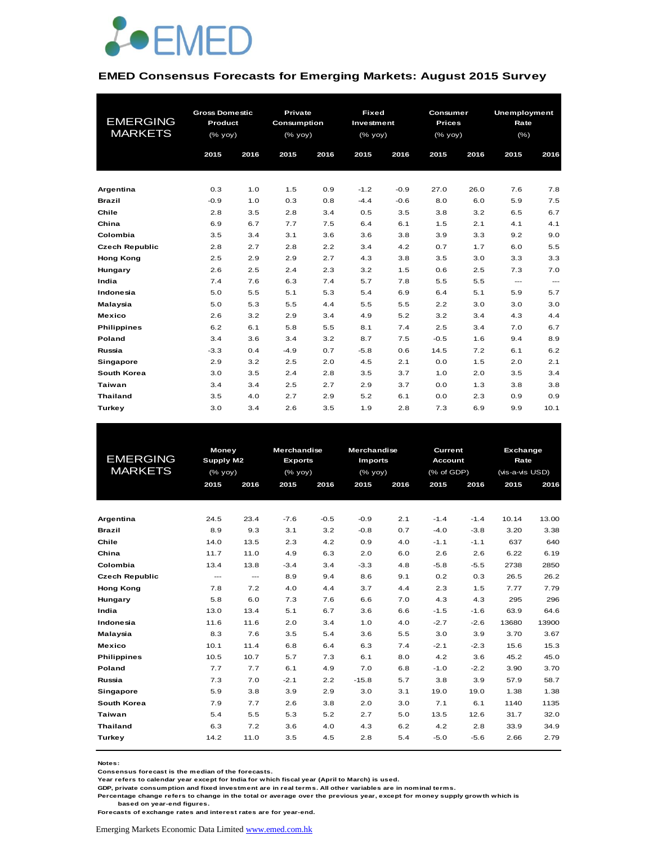

#### **EMED Consensus Forecasts for Emerging Markets: August 2015 Survey**

|                       | <b>Gross Domestic</b> |      | Private            |      | <b>Fixed</b> |        | Consumer      |      | <b>Unemployment</b> |                        |
|-----------------------|-----------------------|------|--------------------|------|--------------|--------|---------------|------|---------------------|------------------------|
| <b>EMERGING</b>       | Product               |      | <b>Consumption</b> |      | Investment   |        | <b>Prices</b> |      | Rate                |                        |
| <b>MARKETS</b>        | (% yoy)               |      | $(%$ (% yoy)       |      | (% yoy)      |        | $(%$ (% yoy)  |      | (%)                 |                        |
|                       |                       |      |                    |      |              |        |               |      |                     |                        |
|                       | 2015                  | 2016 | 2015               | 2016 | 2015         | 2016   | 2015          | 2016 | 2015                | 2016                   |
|                       |                       |      |                    |      |              |        |               |      |                     |                        |
| Argentina             | 0.3                   | 1.0  | 1.5                | 0.9  | $-1.2$       | $-0.9$ | 27.0          | 26.0 | 7.6                 | 7.8                    |
| <b>Brazil</b>         | $-0.9$                | 1.0  | 0.3                | 0.8  | $-4.4$       | $-0.6$ | 8.0           | 6.0  | 5.9                 | 7.5                    |
| Chile                 | 2.8                   | 3.5  | 2.8                | 3.4  | 0.5          | 3.5    | 3.8           | 3.2  | 6.5                 | 6.7                    |
| China                 | 6.9                   | 6.7  | 7.7                | 7.5  | 6.4          | 6.1    | 1.5           | 2.1  | 4.1                 | 4.1                    |
| Colombia              | 3.5                   | 3.4  | 3.1                | 3.6  | 3.6          | 3.8    | 3.9           | 3.3  | 9.2                 | 9.0                    |
| <b>Czech Republic</b> | 2.8                   | 2.7  | 2.8                | 2.2  | 3.4          | 4.2    | 0.7           | 1.7  | 6.0                 | 5.5                    |
| <b>Hong Kong</b>      | 2.5                   | 2.9  | 2.9                | 2.7  | 4.3          | 3.8    | 3.5           | 3.0  | 3.3                 | 3.3                    |
| Hungary               | 2.6                   | 2.5  | 2.4                | 2.3  | 3.2          | 1.5    | 0.6           | 2.5  | 7.3                 | 7.0                    |
| India                 | 7.4                   | 7.6  | 6.3                | 7.4  | 5.7          | 7.8    | 5.5           | 5.5  | ---                 | $\qquad \qquad \cdots$ |
| Indonesia             | 5.0                   | 5.5  | 5.1                | 5.3  | 5.4          | 6.9    | 6.4           | 5.1  | 5.9                 | 5.7                    |
| Malaysia              | 5.0                   | 5.3  | 5.5                | 4.4  | 5.5          | 5.5    | 2.2           | 3.0  | 3.0                 | 3.0                    |
| <b>Mexico</b>         | 2.6                   | 3.2  | 2.9                | 3.4  | 4.9          | 5.2    | 3.2           | 3.4  | 4.3                 | 4.4                    |
| <b>Philippines</b>    | 6.2                   | 6.1  | 5.8                | 5.5  | 8.1          | 7.4    | 2.5           | 3.4  | 7.0                 | 6.7                    |
| Poland                | 3.4                   | 3.6  | 3.4                | 3.2  | 8.7          | 7.5    | $-0.5$        | 1.6  | 9.4                 | 8.9                    |
| Russia                | $-3.3$                | 0.4  | $-4.9$             | 0.7  | $-5.8$       | 0.6    | 14.5          | 7.2  | 6.1                 | 6.2                    |
| Singapore             | 2.9                   | 3.2  | 2.5                | 2.0  | 4.5          | 2.1    | 0.0           | 1.5  | 2.0                 | 2.1                    |
| South Korea           | 3.0                   | 3.5  | 2.4                | 2.8  | 3.5          | 3.7    | 1.0           | 2.0  | 3.5                 | 3.4                    |
| Taiwan                | 3.4                   | 3.4  | 2.5                | 2.7  | 2.9          | 3.7    | 0.0           | 1.3  | 3.8                 | 3.8                    |
| <b>Thailand</b>       | 3.5                   | 4.0  | 2.7                | 2.9  | 5.2          | 6.1    | 0.0           | 2.3  | 0.9                 | 0.9                    |
| Turkey                | 3.0                   | 3.4  | 2.6                | 3.5  | 1.9          | 2.8    | 7.3           | 6.9  | 9.9                 | 10.1                   |

| <b>EMERGING</b><br><b>MARKETS</b> |      | <b>Money</b><br><b>Supply M2</b><br>$(%$ (% yoy) |        | <b>Merchandise</b><br><b>Exports</b><br>$(%$ (% yoy) | <b>Merchandise</b><br><b>Imports</b><br>$(%$ $\gamma$ |      | Current<br><b>Account</b><br>(% of GDP) |        |       | <b>Exchange</b><br>Rate<br>(vis-a-vis USD) |  |
|-----------------------------------|------|--------------------------------------------------|--------|------------------------------------------------------|-------------------------------------------------------|------|-----------------------------------------|--------|-------|--------------------------------------------|--|
|                                   | 2015 | 2016                                             | 2015   | 2016                                                 | 2015                                                  | 2016 | 2015                                    | 2016   | 2015  | 2016                                       |  |
|                                   |      |                                                  |        |                                                      |                                                       |      |                                         |        |       |                                            |  |
| Argentina                         | 24.5 | 23.4                                             | $-7.6$ | $-0.5$                                               | $-0.9$                                                | 2.1  | $-1.4$                                  | $-1.4$ | 10.14 | 13.00                                      |  |
| <b>Brazil</b>                     | 8.9  | 9.3                                              | 3.1    | 3.2                                                  | $-0.8$                                                | 0.7  | $-4.0$                                  | $-3.8$ | 3.20  | 3.38                                       |  |
| Chile                             | 14.0 | 13.5                                             | 2.3    | 4.2                                                  | 0.9                                                   | 4.0  | $-1.1$                                  | $-1.1$ | 637   | 640                                        |  |
| China                             | 11.7 | 11.0                                             | 4.9    | 6.3                                                  | 2.0                                                   | 6.0  | 2.6                                     | 2.6    | 6.22  | 6.19                                       |  |
| Colombia                          | 13.4 | 13.8                                             | $-3.4$ | 3.4                                                  | $-3.3$                                                | 4.8  | $-5.8$                                  | $-5.5$ | 2738  | 2850                                       |  |
| <b>Czech Republic</b>             | ---  | $\hspace{0.05cm} \ldots$                         | 8.9    | 9.4                                                  | 8.6                                                   | 9.1  | 0.2                                     | 0.3    | 26.5  | 26.2                                       |  |
| <b>Hong Kong</b>                  | 7.8  | 7.2                                              | 4.0    | 4.4                                                  | 3.7                                                   | 4.4  | 2.3                                     | 1.5    | 7.77  | 7.79                                       |  |
| Hungary                           | 5.8  | 6.0                                              | 7.3    | 7.6                                                  | 6.6                                                   | 7.0  | 4.3                                     | 4.3    | 295   | 296                                        |  |
| India                             | 13.0 | 13.4                                             | 5.1    | 6.7                                                  | 3.6                                                   | 6.6  | $-1.5$                                  | $-1.6$ | 63.9  | 64.6                                       |  |
| Indonesia                         | 11.6 | 11.6                                             | 2.0    | 3.4                                                  | 1.0                                                   | 4.0  | $-2.7$                                  | $-2.6$ | 13680 | 13900                                      |  |
| Malaysia                          | 8.3  | 7.6                                              | 3.5    | 5.4                                                  | 3.6                                                   | 5.5  | 3.0                                     | 3.9    | 3.70  | 3.67                                       |  |
| <b>Mexico</b>                     | 10.1 | 11.4                                             | 6.8    | 6.4                                                  | 6.3                                                   | 7.4  | $-2.1$                                  | $-2.3$ | 15.6  | 15.3                                       |  |
| <b>Philippines</b>                | 10.5 | 10.7                                             | 5.7    | 7.3                                                  | 6.1                                                   | 8.0  | 4.2                                     | 3.6    | 45.2  | 45.0                                       |  |
| Poland                            | 7.7  | 7.7                                              | 6.1    | 4.9                                                  | 7.0                                                   | 6.8  | $-1.0$                                  | $-2.2$ | 3.90  | 3.70                                       |  |
| Russia                            | 7.3  | 7.0                                              | $-2.1$ | 2.2                                                  | $-15.8$                                               | 5.7  | 3.8                                     | 3.9    | 57.9  | 58.7                                       |  |
| <b>Singapore</b>                  | 5.9  | 3.8                                              | 3.9    | 2.9                                                  | 3.0                                                   | 3.1  | 19.0                                    | 19.0   | 1.38  | 1.38                                       |  |
| South Korea                       | 7.9  | 7.7                                              | 2.6    | 3.8                                                  | 2.0                                                   | 3.0  | 7.1                                     | 6.1    | 1140  | 1135                                       |  |
| Taiwan                            | 5.4  | 5.5                                              | 5.3    | 5.2                                                  | 2.7                                                   | 5.0  | 13.5                                    | 12.6   | 31.7  | 32.0                                       |  |
| <b>Thailand</b>                   | 6.3  | 7.2                                              | 3.6    | 4.0                                                  | 4.3                                                   | 6.2  | 4.2                                     | 2.8    | 33.9  | 34.9                                       |  |
| Turkey                            | 14.2 | 11.0                                             | 3.5    | 4.5                                                  | 2.8                                                   | 5.4  | $-5.0$                                  | $-5.6$ | 2.66  | 2.79                                       |  |

**Notes:** 

**Consensus forecast is the median of the forecasts.**

**Year refers to calendar year except for India for which fiscal year (April to March) is used.**

**GDP, private consumption and fixed investment are in real terms. All other variables are in nominal terms.**

**Percentage change refers to change in the total or average over the previous year, except for money supply growth which is based on year-end figures.**

**Forecasts of exchange rates and interest rates are for year-end.**

Emerging Markets Economic Data Limited www.emed.com.hk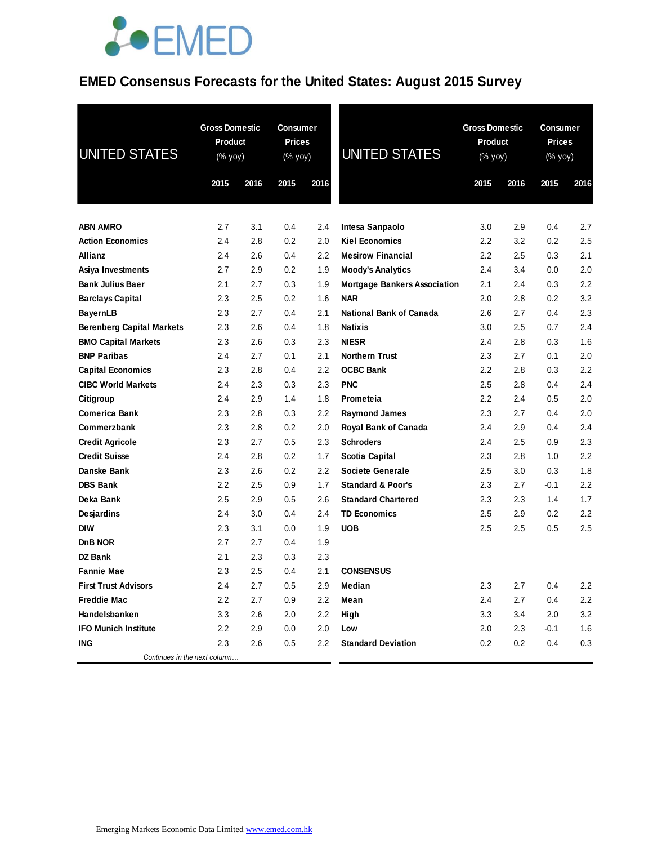#### **EMED Consensus Forecasts for the United States: August 2015 Survey**

| <b>UNITED STATES</b>             | <b>Gross Domestic</b><br><b>Product</b><br>(% yoy) |      | Consumer<br><b>Prices</b><br>(% yoy) |                  | <b>UNITED STATES</b>                | <b>Gross Domestic</b><br>Product<br>(% yoy) |      | <b>Consumer</b><br><b>Prices</b><br>(% yoy) |                  |
|----------------------------------|----------------------------------------------------|------|--------------------------------------|------------------|-------------------------------------|---------------------------------------------|------|---------------------------------------------|------------------|
|                                  | 2015                                               | 2016 | 2015                                 | 2016             |                                     | 2015                                        | 2016 | 2015                                        | 2016             |
| <b>ABN AMRO</b>                  | 2.7                                                | 3.1  | 0.4                                  | 2.4              | Intesa Sanpaolo                     | 3.0                                         | 2.9  | 0.4                                         | 2.7              |
| <b>Action Economics</b>          | 2.4                                                | 2.8  | 0.2                                  | 2.0              | <b>Kiel Economics</b>               | 2.2                                         | 3.2  | 0.2                                         | 2.5              |
| Allianz                          | 2.4                                                | 2.6  | 0.4                                  | 2.2              | <b>Mesirow Financial</b>            | 2.2                                         | 2.5  | 0.3                                         | 2.1              |
| Asiya Investments                | 2.7                                                | 2.9  | 0.2                                  | 1.9              | <b>Moody's Analytics</b>            | 2.4                                         | 3.4  | 0.0                                         | 2.0              |
| <b>Bank Julius Baer</b>          | 2.1                                                | 2.7  | 0.3                                  | 1.9              | <b>Mortgage Bankers Association</b> | 2.1                                         | 2.4  | 0.3                                         | 2.2              |
| <b>Barclays Capital</b>          | 2.3                                                | 2.5  | 0.2                                  | 1.6              | <b>NAR</b>                          | 2.0                                         | 2.8  | 0.2                                         | 3.2              |
| <b>BayernLB</b>                  | 2.3                                                | 2.7  | 0.4                                  | 2.1              | <b>National Bank of Canada</b>      | 2.6                                         | 2.7  | 0.4                                         | 2.3              |
| <b>Berenberg Capital Markets</b> | 2.3                                                | 2.6  | 0.4                                  | 1.8              | <b>Natixis</b>                      | 3.0                                         | 2.5  | 0.7                                         | 2.4              |
| <b>BMO Capital Markets</b>       | 2.3                                                | 2.6  | 0.3                                  | 2.3              | <b>NIESR</b>                        | 2.4                                         | 2.8  | 0.3                                         | 1.6              |
| <b>BNP Paribas</b>               | 2.4                                                | 2.7  | 0.1                                  | 2.1              | <b>Northern Trust</b>               | 2.3                                         | 2.7  | 0.1                                         | 2.0              |
| <b>Capital Economics</b>         | 2.3                                                | 2.8  | 0.4                                  | 2.2              | <b>OCBC Bank</b>                    | 2.2                                         | 2.8  | 0.3                                         | 2.2              |
| <b>CIBC World Markets</b>        | 2.4                                                | 2.3  | 0.3                                  | 2.3              | <b>PNC</b>                          | 2.5                                         | 2.8  | 0.4                                         | 2.4              |
| Citigroup                        | 2.4                                                | 2.9  | 1.4                                  | 1.8              | Prometeia                           | 2.2                                         | 2.4  | 0.5                                         | 2.0              |
| <b>Comerica Bank</b>             | 2.3                                                | 2.8  | 0.3                                  | 2.2              | <b>Raymond James</b>                | 2.3                                         | 2.7  | 0.4                                         | 2.0              |
| Commerzbank                      | 2.3                                                | 2.8  | 0.2                                  | 2.0              | <b>Royal Bank of Canada</b>         | 2.4                                         | 2.9  | 0.4                                         | 2.4              |
| <b>Credit Agricole</b>           | 2.3                                                | 2.7  | 0.5                                  | 2.3              | <b>Schroders</b>                    | 2.4                                         | 2.5  | 0.9                                         | 2.3              |
| <b>Credit Suisse</b>             | 2.4                                                | 2.8  | 0.2                                  | 1.7              | Scotia Capital                      | 2.3                                         | 2.8  | 1.0                                         | 2.2              |
| Danske Bank                      | 2.3                                                | 2.6  | 0.2                                  | $2.2\phantom{0}$ | <b>Societe Generale</b>             | 2.5                                         | 3.0  | 0.3                                         | 1.8              |
| <b>DBS Bank</b>                  | 2.2                                                | 2.5  | 0.9                                  | 1.7              | <b>Standard &amp; Poor's</b>        | 2.3                                         | 2.7  | $-0.1$                                      | $2.2\phantom{0}$ |
| Deka Bank                        | 2.5                                                | 2.9  | 0.5                                  | 2.6              | <b>Standard Chartered</b>           | 2.3                                         | 2.3  | 1.4                                         | 1.7              |
| Desjardins                       | 2.4                                                | 3.0  | 0.4                                  | 2.4              | <b>TD Economics</b>                 | 2.5                                         | 2.9  | 0.2                                         | 2.2              |
| <b>DIW</b>                       | 2.3                                                | 3.1  | 0.0                                  | 1.9              | <b>UOB</b>                          | 2.5                                         | 2.5  | 0.5                                         | 2.5              |
| <b>DnB NOR</b>                   | 2.7                                                | 2.7  | 0.4                                  | 1.9              |                                     |                                             |      |                                             |                  |
| DZ Bank                          | 2.1                                                | 2.3  | 0.3                                  | 2.3              |                                     |                                             |      |                                             |                  |
| <b>Fannie Mae</b>                | 2.3                                                | 2.5  | 0.4                                  | 2.1              | <b>CONSENSUS</b>                    |                                             |      |                                             |                  |
| <b>First Trust Advisors</b>      | 2.4                                                | 2.7  | 0.5                                  | 2.9              | Median                              | 2.3                                         | 2.7  | 0.4                                         | 2.2              |
| <b>Freddie Mac</b>               | 2.2                                                | 2.7  | 0.9                                  | 2.2              | Mean                                | 2.4                                         | 2.7  | 0.4                                         | 2.2              |
| Handelsbanken                    | 3.3                                                | 2.6  | 2.0                                  | 2.2              | High                                | 3.3                                         | 3.4  | 2.0                                         | 3.2              |
| <b>IFO Munich Institute</b>      | 2.2                                                | 2.9  | 0.0                                  | 2.0              | Low                                 | 2.0                                         | 2.3  | $-0.1$                                      | 1.6              |
| <b>ING</b>                       | 2.3                                                | 2.6  | 0.5                                  | 2.2              | <b>Standard Deviation</b>           | 0.2                                         | 0.2  | 0.4                                         | 0.3              |
| Continues in the next column     |                                                    |      |                                      |                  |                                     |                                             |      |                                             |                  |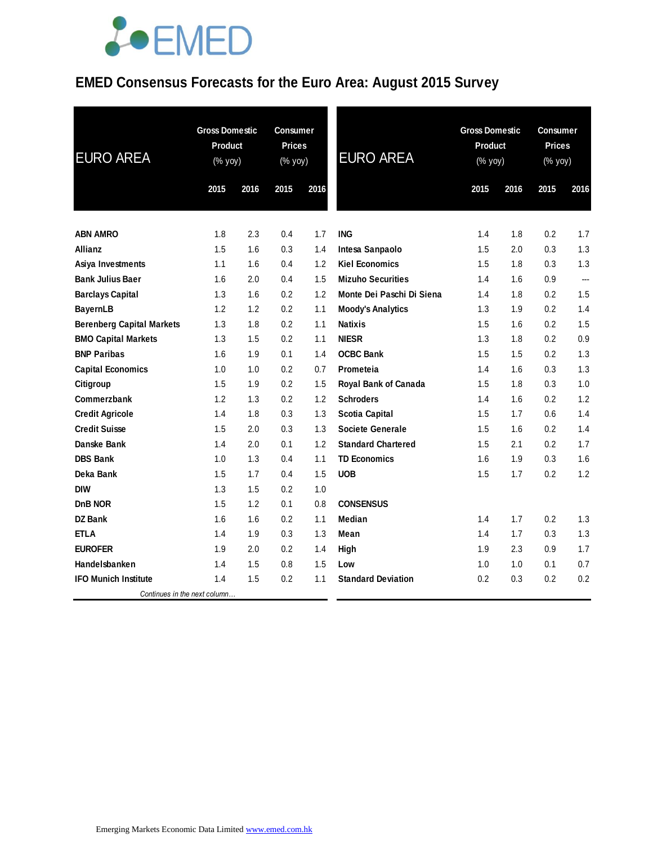### **EMED Consensus Forecasts for the Euro Area: August 2015 Survey**

| <b>EURO AREA</b>                 | <b>Gross Domestic</b><br>Product<br>(% yoy) |      | <b>Consumer</b><br><b>Prices</b><br>(% yoy) |      | <b>EURO AREA</b>          | <b>Gross Domestic</b><br><b>Product</b><br>(% yoy) |      | <b>Consumer</b><br><b>Prices</b><br>$(% \mathsf{Y}\cup \mathsf{Y})$ |      |
|----------------------------------|---------------------------------------------|------|---------------------------------------------|------|---------------------------|----------------------------------------------------|------|---------------------------------------------------------------------|------|
|                                  | 2015                                        | 2016 | 2015                                        | 2016 |                           | 2015                                               | 2016 | 2015                                                                | 2016 |
| <b>ABN AMRO</b>                  | 1.8                                         | 2.3  | 0.4                                         | 1.7  | <b>ING</b>                | 1.4                                                | 1.8  | 0.2                                                                 | 1.7  |
| <b>Allianz</b>                   | 1.5                                         | 1.6  | 0.3                                         | 1.4  | Intesa Sanpaolo           | 1.5                                                | 2.0  | 0.3                                                                 | 1.3  |
| Asiya Investments                | 1.1                                         | 1.6  | 0.4                                         | 1.2  | <b>Kiel Economics</b>     | 1.5                                                | 1.8  | 0.3                                                                 | 1.3  |
| <b>Bank Julius Baer</b>          | 1.6                                         | 2.0  | 0.4                                         | 1.5  | <b>Mizuho Securities</b>  | 1.4                                                | 1.6  | 0.9                                                                 | ---  |
| <b>Barclays Capital</b>          | 1.3                                         | 1.6  | 0.2                                         | 1.2  | Monte Dei Paschi Di Siena | 1.4                                                | 1.8  | 0.2                                                                 | 1.5  |
| <b>BayernLB</b>                  | 1.2                                         | 1.2  | 0.2                                         | 1.1  | <b>Moody's Analytics</b>  | 1.3                                                | 1.9  | 0.2                                                                 | 1.4  |
| <b>Berenberg Capital Markets</b> | 1.3                                         | 1.8  | 0.2                                         | 1.1  | <b>Natixis</b>            | 1.5                                                | 1.6  | 0.2                                                                 | 1.5  |
| <b>BMO Capital Markets</b>       | 1.3                                         | 1.5  | 0.2                                         | 1.1  | <b>NIESR</b>              | 1.3                                                | 1.8  | 0.2                                                                 | 0.9  |
| <b>BNP Paribas</b>               | 1.6                                         | 1.9  | 0.1                                         | 1.4  | <b>OCBC Bank</b>          | 1.5                                                | 1.5  | 0.2                                                                 | 1.3  |
| <b>Capital Economics</b>         | 1.0                                         | 1.0  | 0.2                                         | 0.7  | Prometeia                 | 1.4                                                | 1.6  | 0.3                                                                 | 1.3  |
| Citigroup                        | 1.5                                         | 1.9  | 0.2                                         | 1.5  | Royal Bank of Canada      | 1.5                                                | 1.8  | 0.3                                                                 | 1.0  |
| Commerzbank                      | 1.2                                         | 1.3  | 0.2                                         | 1.2  | <b>Schroders</b>          | 1.4                                                | 1.6  | 0.2                                                                 | 1.2  |
| <b>Credit Agricole</b>           | 1.4                                         | 1.8  | 0.3                                         | 1.3  | <b>Scotia Capital</b>     | 1.5                                                | 1.7  | 0.6                                                                 | 1.4  |
| <b>Credit Suisse</b>             | 1.5                                         | 2.0  | 0.3                                         | 1.3  | <b>Societe Generale</b>   | 1.5                                                | 1.6  | 0.2                                                                 | 1.4  |
| Danske Bank                      | 1.4                                         | 2.0  | 0.1                                         | 1.2  | <b>Standard Chartered</b> | 1.5                                                | 2.1  | 0.2                                                                 | 1.7  |
| <b>DBS Bank</b>                  | 1.0                                         | 1.3  | 0.4                                         | 1.1  | <b>TD Economics</b>       | 1.6                                                | 1.9  | 0.3                                                                 | 1.6  |
| Deka Bank                        | 1.5                                         | 1.7  | 0.4                                         | 1.5  | <b>UOB</b>                | 1.5                                                | 1.7  | 0.2                                                                 | 1.2  |
| <b>DIW</b>                       | 1.3                                         | 1.5  | 0.2                                         | 1.0  |                           |                                                    |      |                                                                     |      |
| DnB NOR                          | 1.5                                         | 1.2  | 0.1                                         | 0.8  | <b>CONSENSUS</b>          |                                                    |      |                                                                     |      |
| <b>DZ Bank</b>                   | 1.6                                         | 1.6  | 0.2                                         | 1.1  | <b>Median</b>             | 1.4                                                | 1.7  | 0.2                                                                 | 1.3  |
| <b>ETLA</b>                      | 1.4                                         | 1.9  | 0.3                                         | 1.3  | Mean                      | 1.4                                                | 1.7  | 0.3                                                                 | 1.3  |
| <b>EUROFER</b>                   | 1.9                                         | 2.0  | 0.2                                         | 1.4  | High                      | 1.9                                                | 2.3  | 0.9                                                                 | 1.7  |
| Handelsbanken                    | 1.4                                         | 1.5  | 0.8                                         | 1.5  | Low                       | 1.0                                                | 1.0  | 0.1                                                                 | 0.7  |
| <b>IFO Munich Institute</b>      | 1.4                                         | 1.5  | 0.2                                         | 1.1  | <b>Standard Deviation</b> | 0.2                                                | 0.3  | 0.2                                                                 | 0.2  |
| Continues in the next column     |                                             |      |                                             |      |                           |                                                    |      |                                                                     |      |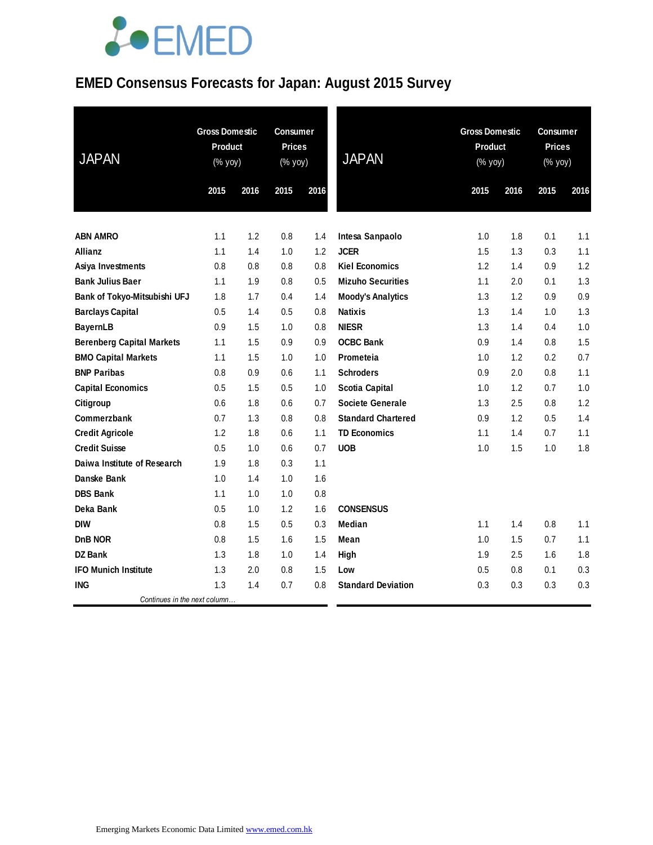### **EMED Consensus Forecasts for Japan: August 2015 Survey**

| <b>JAPAN</b>                     |      | <b>Gross Domestic</b><br><b>Product</b><br>(% yoy) |      | <b>Consumer</b><br><b>Prices</b><br>(% yoy) | <b>JAPAN</b>              | <b>Gross Domestic</b><br><b>Product</b><br>(% yoy) |      | Consumer<br><b>Prices</b><br>(% yoy) |      |
|----------------------------------|------|----------------------------------------------------|------|---------------------------------------------|---------------------------|----------------------------------------------------|------|--------------------------------------|------|
|                                  | 2015 | 2016                                               | 2015 | 2016                                        |                           | 2015                                               | 2016 | 2015                                 | 2016 |
| <b>ABN AMRO</b>                  | 1.1  | 1.2                                                | 0.8  | 1.4                                         | Intesa Sanpaolo           | 1.0                                                | 1.8  | 0.1                                  | 1.1  |
| <b>Allianz</b>                   | 1.1  | 1.4                                                | 1.0  | 1.2                                         | <b>JCER</b>               | 1.5                                                | 1.3  | 0.3                                  | 1.1  |
| Asiya Investments                | 0.8  | 0.8                                                | 0.8  | 0.8                                         | <b>Kiel Economics</b>     | 1.2                                                | 1.4  | 0.9                                  | 1.2  |
| <b>Bank Julius Baer</b>          | 1.1  | 1.9                                                | 0.8  | 0.5                                         | <b>Mizuho Securities</b>  | 1.1                                                | 2.0  | 0.1                                  | 1.3  |
| Bank of Tokyo-Mitsubishi UFJ     | 1.8  | 1.7                                                | 0.4  | 1.4                                         | <b>Moody's Analytics</b>  | 1.3                                                | 1.2  | 0.9                                  | 0.9  |
| <b>Barclays Capital</b>          | 0.5  | 1.4                                                | 0.5  | 0.8                                         | <b>Natixis</b>            | 1.3                                                | 1.4  | 1.0                                  | 1.3  |
| <b>BayernLB</b>                  | 0.9  | 1.5                                                | 1.0  | 0.8                                         | <b>NIESR</b>              | 1.3                                                | 1.4  | 0.4                                  | 1.0  |
| <b>Berenberg Capital Markets</b> | 1.1  | 1.5                                                | 0.9  | 0.9                                         | <b>OCBC Bank</b>          | 0.9                                                | 1.4  | 0.8                                  | 1.5  |
| <b>BMO Capital Markets</b>       | 1.1  | 1.5                                                | 1.0  | 1.0                                         | Prometeia                 | 1.0                                                | 1.2  | 0.2                                  | 0.7  |
| <b>BNP Paribas</b>               | 0.8  | 0.9                                                | 0.6  | 1.1                                         | <b>Schroders</b>          | 0.9                                                | 2.0  | 0.8                                  | 1.1  |
| <b>Capital Economics</b>         | 0.5  | 1.5                                                | 0.5  | 1.0                                         | <b>Scotia Capital</b>     | 1.0                                                | 1.2  | 0.7                                  | 1.0  |
| Citigroup                        | 0.6  | 1.8                                                | 0.6  | 0.7                                         | <b>Societe Generale</b>   | 1.3                                                | 2.5  | 0.8                                  | 1.2  |
| <b>Commerzbank</b>               | 0.7  | 1.3                                                | 0.8  | 0.8                                         | <b>Standard Chartered</b> | 0.9                                                | 1.2  | 0.5                                  | 1.4  |
| <b>Credit Agricole</b>           | 1.2  | 1.8                                                | 0.6  | 1.1                                         | <b>TD Economics</b>       | 1.1                                                | 1.4  | 0.7                                  | 1.1  |
| <b>Credit Suisse</b>             | 0.5  | 1.0                                                | 0.6  | 0.7                                         | <b>UOB</b>                | 1.0                                                | 1.5  | 1.0                                  | 1.8  |
| Daiwa Institute of Research      | 1.9  | 1.8                                                | 0.3  | 1.1                                         |                           |                                                    |      |                                      |      |
| Danske Bank                      | 1.0  | 1.4                                                | 1.0  | 1.6                                         |                           |                                                    |      |                                      |      |
| <b>DBS Bank</b>                  | 1.1  | 1.0                                                | 1.0  | 0.8                                         |                           |                                                    |      |                                      |      |
| Deka Bank                        | 0.5  | 1.0                                                | 1.2  | 1.6                                         | <b>CONSENSUS</b>          |                                                    |      |                                      |      |
| <b>DIW</b>                       | 0.8  | 1.5                                                | 0.5  | 0.3                                         | <b>Median</b>             | 1.1                                                | 1.4  | 0.8                                  | 1.1  |
| DnB NOR                          | 0.8  | 1.5                                                | 1.6  | 1.5                                         | Mean                      | 1.0                                                | 1.5  | 0.7                                  | 1.1  |
| DZ Bank                          | 1.3  | 1.8                                                | 1.0  | 1.4                                         | High                      | 1.9                                                | 2.5  | 1.6                                  | 1.8  |
| <b>IFO Munich Institute</b>      | 1.3  | 2.0                                                | 0.8  | 1.5                                         | Low                       | 0.5                                                | 0.8  | 0.1                                  | 0.3  |
| <b>ING</b>                       | 1.3  | 1.4                                                | 0.7  | 0.8                                         | <b>Standard Deviation</b> | 0.3                                                | 0.3  | 0.3                                  | 0.3  |
| Continues in the next column     |      |                                                    |      |                                             |                           |                                                    |      |                                      |      |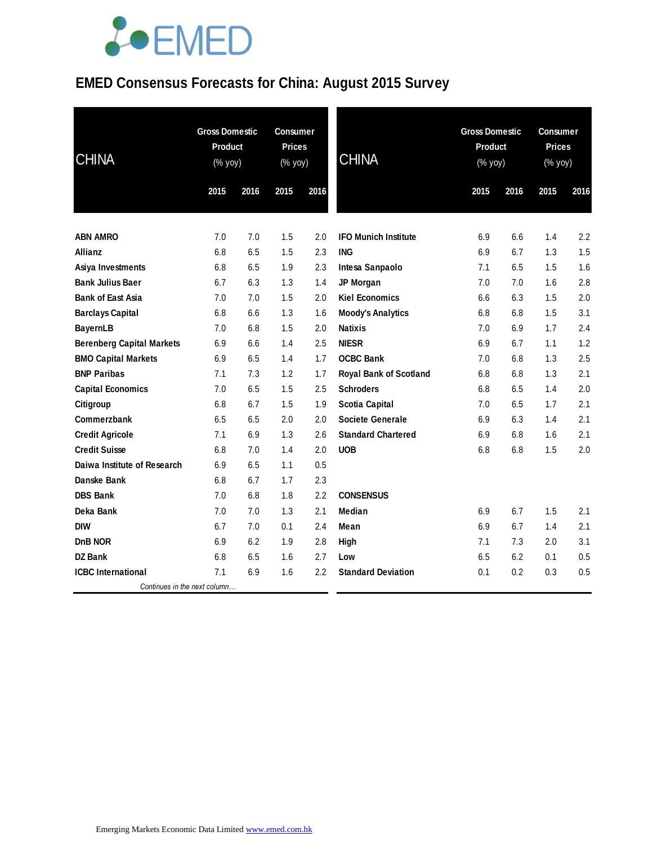### **EMED Consensus Forecasts for China: August 2015 Survey**

| <b>CHINA</b>                     | <b>Gross Domestic</b><br>Product<br>(% yoy) |      | <b>Consumer</b><br><b>Prices</b><br>(% yoy) |         | <b>CHINA</b>                  | <b>Gross Domestic</b><br>Product<br>(% yoy) |      | <b>Consumer</b><br><b>Prices</b><br>(% yoy) |      |
|----------------------------------|---------------------------------------------|------|---------------------------------------------|---------|-------------------------------|---------------------------------------------|------|---------------------------------------------|------|
|                                  | 2015                                        | 2016 | 2015                                        | 2016    |                               | 2015                                        | 2016 | 2015                                        | 2016 |
| <b>ABN AMRO</b>                  | 7.0                                         | 7.0  | 1.5                                         | 2.0     | <b>IFO Munich Institute</b>   | 6.9                                         | 6.6  | 1.4                                         | 2.2  |
| <b>Allianz</b>                   | 6.8                                         | 6.5  | 1.5                                         | 2.3     | <b>ING</b>                    | 6.9                                         | 6.7  | 1.3                                         | 1.5  |
| <b>Asiya Investments</b>         | 6.8                                         | 6.5  | 1.9                                         | 2.3     | Intesa Sanpaolo               | 7.1                                         | 6.5  | 1.5                                         | 1.6  |
| <b>Bank Julius Baer</b>          | 6.7                                         | 6.3  | 1.3                                         | 1.4     | JP Morgan                     | 7.0                                         | 7.0  | 1.6                                         | 2.8  |
| <b>Bank of East Asia</b>         | 7.0                                         | 7.0  | 1.5                                         | 2.0     | <b>Kiel Economics</b>         | 6.6                                         | 6.3  | 1.5                                         | 2.0  |
| <b>Barclays Capital</b>          | 6.8                                         | 6.6  | 1.3                                         | 1.6     | <b>Moody's Analytics</b>      | 6.8                                         | 6.8  | 1.5                                         | 3.1  |
| <b>BayernLB</b>                  | 7.0                                         | 6.8  | 1.5                                         | 2.0     | <b>Natixis</b>                | 7.0                                         | 6.9  | 1.7                                         | 2.4  |
| <b>Berenberg Capital Markets</b> | 6.9                                         | 6.6  | 1.4                                         | 2.5     | <b>NIESR</b>                  | 6.9                                         | 6.7  | 1.1                                         | 1.2  |
| <b>BMO Capital Markets</b>       | 6.9                                         | 6.5  | 1.4                                         | 1.7     | <b>OCBC Bank</b>              | 7.0                                         | 6.8  | 1.3                                         | 2.5  |
| <b>BNP Paribas</b>               | 7.1                                         | 7.3  | 1.2                                         | 1.7     | <b>Royal Bank of Scotland</b> | 6.8                                         | 6.8  | 1.3                                         | 2.1  |
| <b>Capital Economics</b>         | 7.0                                         | 6.5  | 1.5                                         | $2.5\,$ | <b>Schroders</b>              | 6.8                                         | 6.5  | 1.4                                         | 2.0  |
| Citigroup                        | 6.8                                         | 6.7  | 1.5                                         | 1.9     | <b>Scotia Capital</b>         | 7.0                                         | 6.5  | 1.7                                         | 2.1  |
| Commerzbank                      | 6.5                                         | 6.5  | 2.0                                         | 2.0     | <b>Societe Generale</b>       | 6.9                                         | 6.3  | 1.4                                         | 2.1  |
| <b>Credit Agricole</b>           | 7.1                                         | 6.9  | 1.3                                         | 2.6     | <b>Standard Chartered</b>     | 6.9                                         | 6.8  | 1.6                                         | 2.1  |
| <b>Credit Suisse</b>             | 6.8                                         | 7.0  | 1.4                                         | 2.0     | <b>UOB</b>                    | 6.8                                         | 6.8  | 1.5                                         | 2.0  |
| Daiwa Institute of Research      | 6.9                                         | 6.5  | 1.1                                         | 0.5     |                               |                                             |      |                                             |      |
| Danske Bank                      | 6.8                                         | 6.7  | 1.7                                         | 2.3     |                               |                                             |      |                                             |      |
| <b>DBS Bank</b>                  | 7.0                                         | 6.8  | 1.8                                         | 2.2     | <b>CONSENSUS</b>              |                                             |      |                                             |      |
| Deka Bank                        | 7.0                                         | 7.0  | 1.3                                         | 2.1     | Median                        | 6.9                                         | 6.7  | 1.5                                         | 2.1  |
| <b>DIW</b>                       | 6.7                                         | 7.0  | 0.1                                         | 2.4     | Mean                          | 6.9                                         | 6.7  | 1.4                                         | 2.1  |
| DnB NOR                          | 6.9                                         | 6.2  | 1.9                                         | 2.8     | High                          | 7.1                                         | 7.3  | 2.0                                         | 3.1  |
| <b>DZ Bank</b>                   | 6.8                                         | 6.5  | 1.6                                         | 2.7     | Low                           | 6.5                                         | 6.2  | 0.1                                         | 0.5  |
| <b>ICBC</b> International        | 7.1                                         | 6.9  | 1.6                                         | 2.2     | <b>Standard Deviation</b>     | 0.1                                         | 0.2  | 0.3                                         | 0.5  |
| Continues in the next column     |                                             |      |                                             |         |                               |                                             |      |                                             |      |